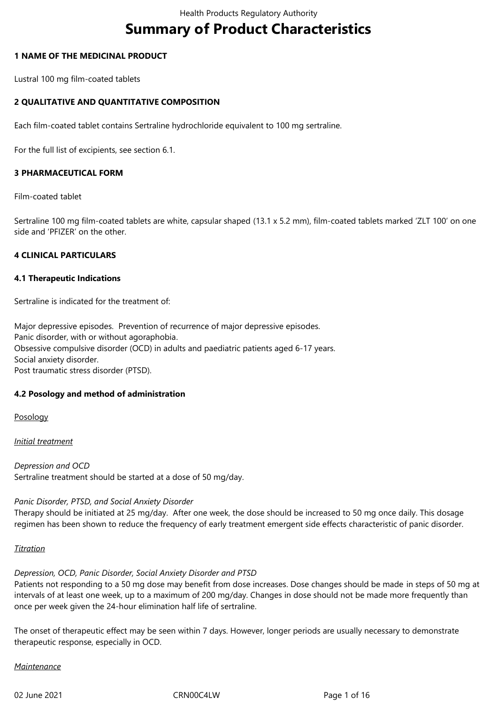# **Summary of Product Characteristics**

### **1 NAME OF THE MEDICINAL PRODUCT**

Lustral 100 mg film-coated tablets

# **2 QUALITATIVE AND QUANTITATIVE COMPOSITION**

Each film-coated tablet contains Sertraline hydrochloride equivalent to 100 mg sertraline.

For the full list of excipients, see section 6.1.

# **3 PHARMACEUTICAL FORM**

Film-coated tablet

Sertraline 100 mg film-coated tablets are white, capsular shaped (13.1 x 5.2 mm), film-coated tablets marked 'ZLT 100' on one side and 'PFIZER' on the other.

#### **4 CLINICAL PARTICULARS**

#### **4.1 Therapeutic Indications**

Sertraline is indicated for the treatment of:

Major depressive episodes. Prevention of recurrence of major depressive episodes. Panic disorder, with or without agoraphobia. Obsessive compulsive disorder (OCD) in adults and paediatric patients aged 6-17 years. Social anxiety disorder. Post traumatic stress disorder (PTSD).

#### **4.2 Posology and method of administration**

Posology

#### *Initial treatment*

*Depression and OCD* Sertraline treatment should be started at a dose of 50 mg/day.

#### *Panic Disorder, PTSD, and Social Anxiety Disorder*

Therapy should be initiated at 25 mg/day. After one week, the dose should be increased to 50 mg once daily. This dosage regimen has been shown to reduce the frequency of early treatment emergent side effects characteristic of panic disorder.

#### *Titration*

*Depression, OCD, Panic Disorder, Social Anxiety Disorder and PTSD* 

Patients not responding to a 50 mg dose may benefit from dose increases. Dose changes should be made in steps of 50 mg at intervals of at least one week, up to a maximum of 200 mg/day. Changes in dose should not be made more frequently than once per week given the 24-hour elimination half life of sertraline.

The onset of therapeutic effect may be seen within 7 days. However, longer periods are usually necessary to demonstrate therapeutic response, especially in OCD.

#### *Maintenance*

02 June 2021 **CRNOOC4LW** CRNOOC4LW Page 1 of 16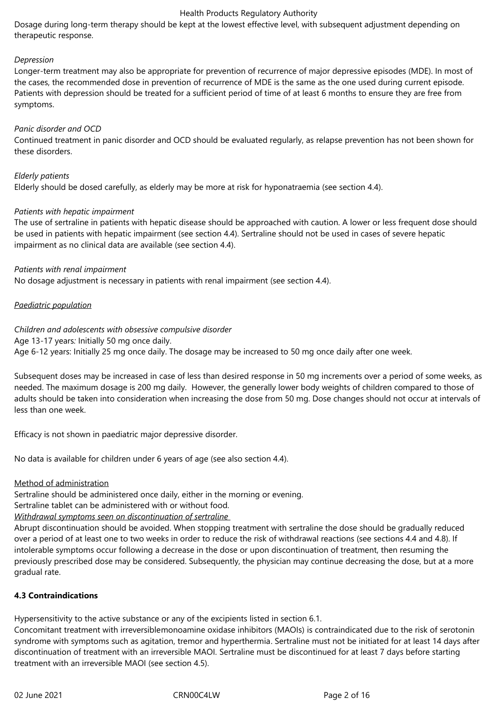Dosage during long‑term therapy should be kept at the lowest effective level, with subsequent adjustment depending on therapeutic response.

#### *Depression*

Longer-term treatment may also be appropriate for prevention of recurrence of major depressive episodes (MDE). In most of the cases, the recommended dose in prevention of recurrence of MDE is the same as the one used during current episode. Patients with depression should be treated for a sufficient period of time of at least 6 months to ensure they are free from symptoms.

#### *Panic disorder and OCD*

Continued treatment in panic disorder and OCD should be evaluated regularly, as relapse prevention has not been shown for these disorders.

*Elderly patients* Elderly should be dosed carefully, as elderly may be more at risk for hyponatraemia (see section 4.4).

#### *Patients with hepatic impairment*

The use of sertraline in patients with hepatic disease should be approached with caution. A lower or less frequent dose should be used in patients with hepatic impairment (see section 4.4). Sertraline should not be used in cases of severe hepatic impairment as no clinical data are available (see section 4.4).

#### *Patients with renal impairment*

No dosage adjustment is necessary in patients with renal impairment (see section 4.4).

#### *Paediatric population*

#### *Children and adolescents with obsessive compulsive disorder*

Age 13-17 years*:* Initially 50 mg once daily.

Age 6-12 years: Initially 25 mg once daily. The dosage may be increased to 50 mg once daily after one week.

Subsequent doses may be increased in case of less than desired response in 50 mg increments over a period of some weeks, as needed. The maximum dosage is 200 mg daily. However, the generally lower body weights of children compared to those of adults should be taken into consideration when increasing the dose from 50 mg. Dose changes should not occur at intervals of less than one week.

Efficacy is not shown in paediatric major depressive disorder.

No data is available for children under 6 years of age (see also section 4.4).

#### Method of administration

Sertraline should be administered once daily, either in the morning or evening.

Sertraline tablet can be administered with or without food.

*Withdrawal symptoms seen on discontinuation of sertraline* 

Abrupt discontinuation should be avoided. When stopping treatment with sertraline the dose should be gradually reduced over a period of at least one to two weeks in order to reduce the risk of withdrawal reactions (see sections 4.4 and 4.8). If intolerable symptoms occur following a decrease in the dose or upon discontinuation of treatment, then resuming the previously prescribed dose may be considered. Subsequently, the physician may continue decreasing the dose, but at a more gradual rate.

#### **4.3 Contraindications**

Hypersensitivity to the active substance or any of the excipients listed in section 6.1.

Concomitant treatment with irreversiblemonoamine oxidase inhibitors (MAOIs) is contraindicated due to the risk of serotonin syndrome with symptoms such as agitation, tremor and hyperthermia. Sertraline must not be initiated for at least 14 days after discontinuation of treatment with an irreversible MAOI. Sertraline must be discontinued for at least 7 days before starting treatment with an irreversible MAOI (see section 4.5).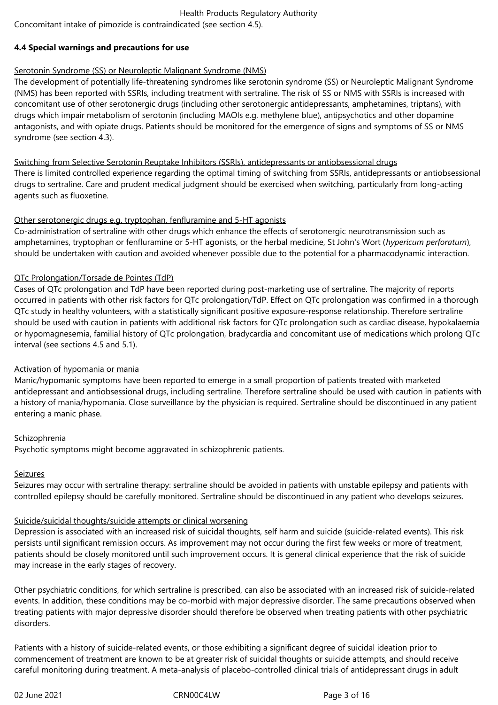Concomitant intake of pimozide is contraindicated (see section 4.5).

# **4.4 Special warnings and precautions for use**

# Serotonin Syndrome (SS) or Neuroleptic Malignant Syndrome (NMS)

The development of potentially life-threatening syndromes like serotonin syndrome (SS) or Neuroleptic Malignant Syndrome (NMS) has been reported with SSRIs, including treatment with sertraline. The risk of SS or NMS with SSRIs is increased with concomitant use of other serotonergic drugs (including other serotonergic antidepressants, amphetamines, triptans), with drugs which impair metabolism of serotonin (including MAOIs e.g. methylene blue), antipsychotics and other dopamine antagonists, and with opiate drugs. Patients should be monitored for the emergence of signs and symptoms of SS or NMS syndrome (see section 4.3).

# Switching from Selective Serotonin Reuptake Inhibitors (SSRIs), antidepressants or antiobsessional drugs

There is limited controlled experience regarding the optimal timing of switching from SSRIs, antidepressants or antiobsessional drugs to sertraline. Care and prudent medical judgment should be exercised when switching, particularly from long-acting agents such as fluoxetine.

# Other serotonergic drugs e.g. tryptophan, fenfluramine and 5-HT agonists

Co-administration of sertraline with other drugs which enhance the effects of serotonergic neurotransmission such as amphetamines, tryptophan or fenfluramine or 5-HT agonists, or the herbal medicine, St John's Wort (*hypericum perforatum*), should be undertaken with caution and avoided whenever possible due to the potential for a pharmacodynamic interaction.

# QTc Prolongation/Torsade de Pointes (TdP)

Cases of QTc prolongation and TdP have been reported during post-marketing use of sertraline. The majority of reports occurred in patients with other risk factors for QTc prolongation/TdP. Effect on QTc prolongation was confirmed in a thorough QTc study in healthy volunteers, with a statistically significant positive exposure-response relationship. Therefore sertraline should be used with caution in patients with additional risk factors for QTc prolongation such as cardiac disease, hypokalaemia or hypomagnesemia, familial history of QTc prolongation, bradycardia and concomitant use of medications which prolong QTc interval (see sections 4.5 and 5.1).

# Activation of hypomania or mania

Manic/hypomanic symptoms have been reported to emerge in a small proportion of patients treated with marketed antidepressant and antiobsessional drugs, including sertraline. Therefore sertraline should be used with caution in patients with a history of mania/hypomania. Close surveillance by the physician is required. Sertraline should be discontinued in any patient entering a manic phase.

# Schizophrenia

Psychotic symptoms might become aggravated in schizophrenic patients.

# Seizures

Seizures may occur with sertraline therapy: sertraline should be avoided in patients with unstable epilepsy and patients with controlled epilepsy should be carefully monitored. Sertraline should be discontinued in any patient who develops seizures.

# Suicide/suicidal thoughts/suicide attempts or clinical worsening

Depression is associated with an increased risk of suicidal thoughts, self harm and suicide (suicide-related events). This risk persists until significant remission occurs. As improvement may not occur during the first few weeks or more of treatment, patients should be closely monitored until such improvement occurs. It is general clinical experience that the risk of suicide may increase in the early stages of recovery.

Other psychiatric conditions, for which sertraline is prescribed, can also be associated with an increased risk of suicide-related events. In addition, these conditions may be co-morbid with major depressive disorder. The same precautions observed when treating patients with major depressive disorder should therefore be observed when treating patients with other psychiatric disorders.

Patients with a history of suicide-related events, or those exhibiting a significant degree of suicidal ideation prior to commencement of treatment are known to be at greater risk of suicidal thoughts or suicide attempts, and should receive careful monitoring during treatment. A meta‑analysis of placebo‑controlled clinical trials of antidepressant drugs in adult

02 June 2021 **CRNOOC4LW** CRNOOC4LW Page 3 of 16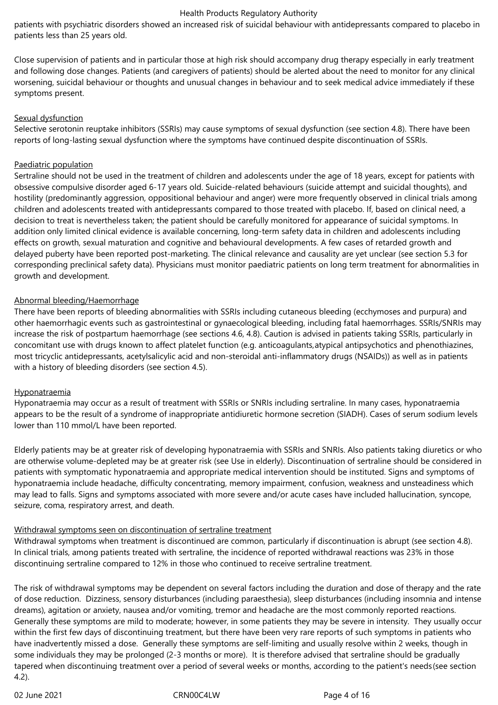patients with psychiatric disorders showed an increased risk of suicidal behaviour with antidepressants compared to placebo in patients less than 25 years old.

Close supervision of patients and in particular those at high risk should accompany drug therapy especially in early treatment and following dose changes. Patients (and caregivers of patients) should be alerted about the need to monitor for any clinical worsening, suicidal behaviour or thoughts and unusual changes in behaviour and to seek medical advice immediately if these symptoms present.

#### Sexual dysfunction

Selective serotonin reuptake inhibitors (SSRIs) may cause symptoms of sexual dysfunction (see section 4.8). There have been reports of long-lasting sexual dysfunction where the symptoms have continued despite discontinuation of SSRIs.

### Paediatric population

Sertraline should not be used in the treatment of children and adolescents under the age of 18 years, except for patients with obsessive compulsive disorder aged 6-17 years old. Suicide-related behaviours (suicide attempt and suicidal thoughts), and hostility (predominantly aggression, oppositional behaviour and anger) were more frequently observed in clinical trials among children and adolescents treated with antidepressants compared to those treated with placebo. If, based on clinical need, a decision to treat is nevertheless taken; the patient should be carefully monitored for appearance of suicidal symptoms. In addition only limited clinical evidence is available concerning, long-term safety data in children and adolescents including effects on growth, sexual maturation and cognitive and behavioural developments. A few cases of retarded growth and delayed puberty have been reported post-marketing. The clinical relevance and causality are yet unclear (see section 5.3 for corresponding preclinical safety data). Physicians must monitor paediatric patients on long term treatment for abnormalities in growth and development.

# Abnormal bleeding/Haemorrhage

There have been reports of bleeding abnormalities with SSRIs including cutaneous bleeding (ecchymoses and purpura) and other haemorrhagic events such as gastrointestinal or gynaecological bleeding, including fatal haemorrhages. SSRIs/SNRIs may increase the risk of postpartum haemorrhage (see sections 4.6, 4.8). Caution is advised in patients taking SSRIs, particularly in concomitant use with drugs known to affect platelet function (e.g. anticoagulants,atypical antipsychotics and phenothiazines, most tricyclic antidepressants, acetylsalicylic acid and non-steroidal anti-inflammatory drugs (NSAIDs)) as well as in patients with a history of bleeding disorders (see section 4.5).

#### Hyponatraemia

Hyponatraemia may occur as a result of treatment with SSRIs or SNRIs including sertraline. In many cases, hyponatraemia appears to be the result of a syndrome of inappropriate antidiuretic hormone secretion (SIADH). Cases of serum sodium levels lower than 110 mmol/L have been reported.

Elderly patients may be at greater risk of developing hyponatraemia with SSRIs and SNRIs. Also patients taking diuretics or who are otherwise volume-depleted may be at greater risk (see Use in elderly). Discontinuation of sertraline should be considered in patients with symptomatic hyponatraemia and appropriate medical intervention should be instituted. Signs and symptoms of hyponatraemia include headache, difficulty concentrating, memory impairment, confusion, weakness and unsteadiness which may lead to falls. Signs and symptoms associated with more severe and/or acute cases have included hallucination, syncope, seizure, coma, respiratory arrest, and death.

# Withdrawal symptoms seen on discontinuation of sertraline treatment

Withdrawal symptoms when treatment is discontinued are common, particularly if discontinuation is abrupt (see section 4.8). In clinical trials, among patients treated with sertraline, the incidence of reported withdrawal reactions was 23% in those discontinuing sertraline compared to 12% in those who continued to receive sertraline treatment.

The risk of withdrawal symptoms may be dependent on several factors including the duration and dose of therapy and the rate of dose reduction. Dizziness, sensory disturbances (including paraesthesia), sleep disturbances (including insomnia and intense dreams), agitation or anxiety, nausea and/or vomiting, tremor and headache are the most commonly reported reactions. Generally these symptoms are mild to moderate; however, in some patients they may be severe in intensity. They usually occur within the first few days of discontinuing treatment, but there have been very rare reports of such symptoms in patients who have inadvertently missed a dose. Generally these symptoms are self-limiting and usually resolve within 2 weeks, though in some individuals they may be prolonged (2-3 months or more). It is therefore advised that sertraline should be gradually tapered when discontinuing treatment over a period of several weeks or months, according to the patient's needs(see section 4.2).

02 June 2021 **CRN00C4LW** CRN00C4LW Page 4 of 16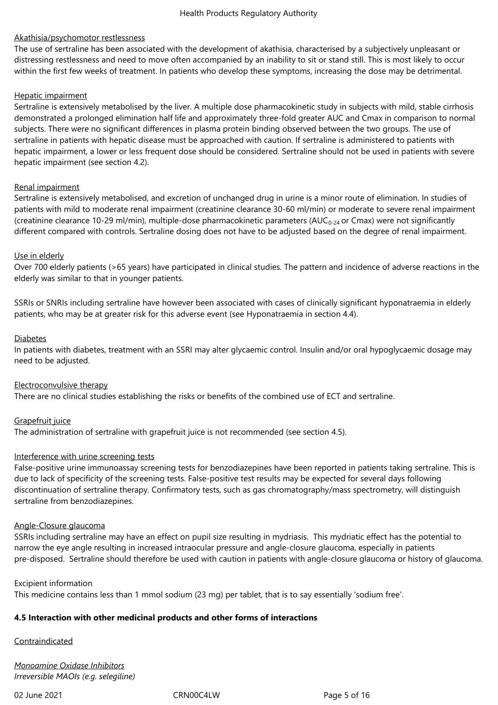# Akathisia/psychomotor restlessness

The use of sertraline has been associated with the development of akathisia, characterised by a subjectively unpleasant or distressing restlessness and need to move often accompanied by an inability to sit or stand still. This is most likely to occur within the first few weeks of treatment. In patients who develop these symptoms, increasing the dose may be detrimental.

### Hepatic impairment

Sertraline is extensively metabolised by the liver. A multiple dose pharmacokinetic study in subjects with mild, stable cirrhosis demonstrated a prolonged elimination half life and approximately three-fold greater AUC and Cmax in comparison to normal subjects. There were no significant differences in plasma protein binding observed between the two groups. The use of sertraline in patients with hepatic disease must be approached with caution. If sertraline is administered to patients with hepatic impairment, a lower or less frequent dose should be considered. Sertraline should not be used in patients with severe hepatic impairment (see section 4.2).

#### Renal impairment

Sertraline is extensively metabolised, and excretion of unchanged drug in urine is a minor route of elimination. In studies of patients with mild to moderate renal impairment (creatinine clearance 30‑60 ml/min) or moderate to severe renal impairment (creatinine clearance 10-29 ml/min), multiple-dose pharmacokinetic parameters (AUC<sub>0-24</sub> or Cmax) were not significantly different compared with controls. Sertraline dosing does not have to be adjusted based on the degree of renal impairment.

# Use in elderly

Over 700 elderly patients (>65 years) have participated in clinical studies. The pattern and incidence of adverse reactions in the elderly was similar to that in younger patients.

SSRIs or SNRIs including sertraline have however been associated with cases of clinically significant hyponatraemia in elderly patients, who may be at greater risk for this adverse event (see Hyponatraemia in section 4.4).

#### Diabetes

In patients with diabetes, treatment with an SSRI may alter glycaemic control. Insulin and/or oral hypoglycaemic dosage may need to be adjusted.

#### Electroconvulsive therapy

There are no clinical studies establishing the risks or benefits of the combined use of ECT and sertraline.

# Grapefruit juice

The administration of sertraline with grapefruit juice is not recommended (see section 4.5).

#### Interference with urine screening tests

False-positive urine immunoassay screening tests for benzodiazepines have been reported in patients taking sertraline. This is due to lack of specificity of the screening tests. False-positive test results may be expected for several days following discontinuation of sertraline therapy. Confirmatory tests, such as gas chromatography/mass spectrometry, will distinguish sertraline from benzodiazepines.

#### Angle-Closure glaucoma

SSRIs including sertraline may have an effect on pupil size resulting in mydriasis. This mydriatic effect has the potential to narrow the eye angle resulting in increased intraocular pressure and angle-closure glaucoma, especially in patients pre-disposed. Sertraline should therefore be used with caution in patients with angle-closure glaucoma or history of glaucoma.

#### Excipient information

This medicine contains less than 1 mmol sodium (23 mg) per tablet, that is to say essentially 'sodium free'.

#### **4.5 Interaction with other medicinal products and other forms of interactions**

#### **Contraindicated**

*Monoamine Oxidase Inhibitors Irreversible MAOIs (e.g. selegiline)*

02 June 2021 **CRNOOC4LW** CRNOOC4LW Page 5 of 16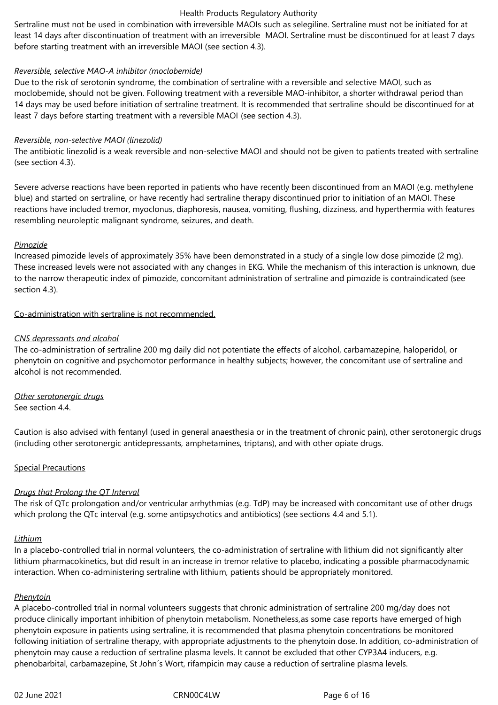Sertraline must not be used in combination with irreversible MAOIs such as selegiline. Sertraline must not be initiated for at least 14 days after discontinuation of treatment with an irreversible MAOI. Sertraline must be discontinued for at least 7 days before starting treatment with an irreversible MAOI (see section 4.3).

#### *Reversible, selective MAO-A inhibitor (moclobemide)*

Due to the risk of serotonin syndrome, the combination of sertraline with a reversible and selective MAOI, such as moclobemide, should not be given. Following treatment with a reversible MAO‑inhibitor, a shorter withdrawal period than 14 days may be used before initiation of sertraline treatment. It is recommended that sertraline should be discontinued for at least 7 days before starting treatment with a reversible MAOI (see section 4.3).

#### *Reversible, non-selective MAOI (linezolid)*

The antibiotic linezolid is a weak reversible and non-selective MAOI and should not be given to patients treated with sertraline (see section 4.3).

Severe adverse reactions have been reported in patients who have recently been discontinued from an MAOI (e.g. methylene blue) and started on sertraline, or have recently had sertraline therapy discontinued prior to initiation of an MAOI. These reactions have included tremor, myoclonus, diaphoresis, nausea, vomiting, flushing, dizziness, and hyperthermia with features resembling neuroleptic malignant syndrome, seizures, and death.

#### *Pimozide*

Increased pimozide levels of approximately 35% have been demonstrated in a study of a single low dose pimozide (2 mg). These increased levels were not associated with any changes in EKG. While the mechanism of this interaction is unknown, due to the narrow therapeutic index of pimozide, concomitant administration of sertraline and pimozide is contraindicated (see section 4.3).

Co-administration with sertraline is not recommended.

#### *CNS depressants and alcohol*

The co-administration of sertraline 200 mg daily did not potentiate the effects of alcohol, carbamazepine, haloperidol, or phenytoin on cognitive and psychomotor performance in healthy subjects; however, the concomitant use of sertraline and alcohol is not recommended.

*Other serotonergic drugs* See section 4.4.

Caution is also advised with fentanyl (used in general anaesthesia or in the treatment of chronic pain), other serotonergic drugs (including other serotonergic antidepressants, amphetamines, triptans), and with other opiate drugs.

#### Special Precautions

#### *Drugs that Prolong the QT Interval*

The risk of QTc prolongation and/or ventricular arrhythmias (e.g. TdP) may be increased with concomitant use of other drugs which prolong the QTc interval (e.g. some antipsychotics and antibiotics) (see sections 4.4 and 5.1).

#### *Lithium*

In a placebo-controlled trial in normal volunteers, the co-administration of sertraline with lithium did not significantly alter lithium pharmacokinetics, but did result in an increase in tremor relative to placebo, indicating a possible pharmacodynamic interaction. When co-administering sertraline with lithium, patients should be appropriately monitored.

#### *Phenytoin*

A placebo-controlled trial in normal volunteers suggests that chronic administration of sertraline 200 mg/day does not produce clinically important inhibition of phenytoin metabolism. Nonetheless,as some case reports have emerged of high phenytoin exposure in patients using sertraline, it is recommended that plasma phenytoin concentrations be monitored following initiation of sertraline therapy, with appropriate adjustments to the phenytoin dose. In addition, co-administration of phenytoin may cause a reduction of sertraline plasma levels. It cannot be excluded that other CYP3A4 inducers, e.g. phenobarbital, carbamazepine, St John´s Wort, rifampicin may cause a reduction of sertraline plasma levels.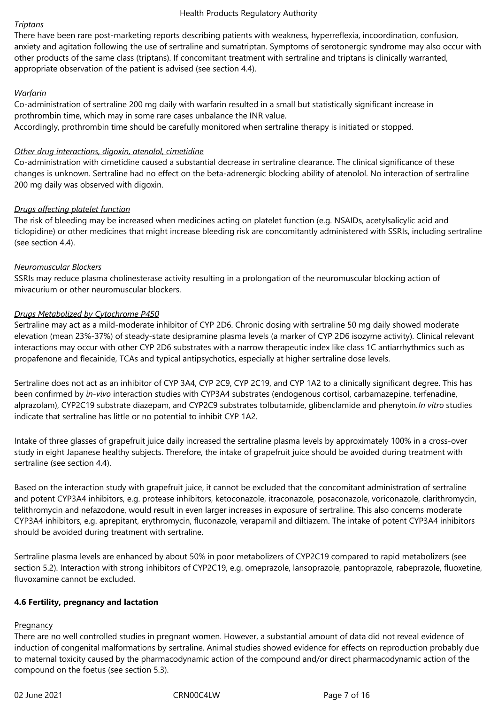#### *Triptans*

There have been rare post-marketing reports describing patients with weakness, hyperreflexia, incoordination, confusion, anxiety and agitation following the use of sertraline and sumatriptan. Symptoms of serotonergic syndrome may also occur with other products of the same class (triptans). If concomitant treatment with sertraline and triptans is clinically warranted, appropriate observation of the patient is advised (see section 4.4).

# *Warfarin*

Co-administration of sertraline 200 mg daily with warfarin resulted in a small but statistically significant increase in prothrombin time, which may in some rare cases unbalance the INR value. Accordingly, prothrombin time should be carefully monitored when sertraline therapy is initiated or stopped.

### *Other drug interactions, digoxin, atenolol, cimetidine*

Co-administration with cimetidine caused a substantial decrease in sertraline clearance. The clinical significance of these changes is unknown. Sertraline had no effect on the beta-adrenergic blocking ability of atenolol. No interaction of sertraline 200 mg daily was observed with digoxin.

# *Drugs affecting platelet function*

The risk of bleeding may be increased when medicines acting on platelet function (e.g. NSAIDs, acetylsalicylic acid and ticlopidine) or other medicines that might increase bleeding risk are concomitantly administered with SSRIs, including sertraline (see section 4.4).

# *Neuromuscular Blockers*

SSRIs may reduce plasma cholinesterase activity resulting in a prolongation of the neuromuscular blocking action of mivacurium or other neuromuscular blockers.

# *Drugs Metabolized by Cytochrome P450*

Sertraline may act as a mild-moderate inhibitor of CYP 2D6. Chronic dosing with sertraline 50 mg daily showed moderate elevation (mean 23%-37%) of steady-state desipramine plasma levels (a marker of CYP 2D6 isozyme activity). Clinical relevant interactions may occur with other CYP 2D6 substrates with a narrow therapeutic index like class 1C antiarrhythmics such as propafenone and flecainide, TCAs and typical antipsychotics, especially at higher sertraline dose levels.

Sertraline does not act as an inhibitor of CYP 3A4, CYP 2C9, CYP 2C19, and CYP 1A2 to a clinically significant degree. This has been confirmed by *in-vivo* interaction studies with CYP3A4 substrates (endogenous cortisol, carbamazepine, terfenadine, alprazolam), CYP2C19 substrate diazepam, and CYP2C9 substrates tolbutamide, glibenclamide and phenytoin.*In vitro* studies indicate that sertraline has little or no potential to inhibit CYP 1A2.

Intake of three glasses of grapefruit juice daily increased the sertraline plasma levels by approximately 100% in a cross-over study in eight Japanese healthy subjects. Therefore, the intake of grapefruit juice should be avoided during treatment with sertraline (see section 4.4).

Based on the interaction study with grapefruit juice, it cannot be excluded that the concomitant administration of sertraline and potent CYP3A4 inhibitors, e.g. protease inhibitors, ketoconazole, itraconazole, posaconazole, voriconazole, clarithromycin, telithromycin and nefazodone, would result in even larger increases in exposure of sertraline. This also concerns moderate CYP3A4 inhibitors, e.g. aprepitant, erythromycin, fluconazole, verapamil and diltiazem. The intake of potent CYP3A4 inhibitors should be avoided during treatment with sertraline.

Sertraline plasma levels are enhanced by about 50% in poor metabolizers of CYP2C19 compared to rapid metabolizers (see section 5.2). Interaction with strong inhibitors of CYP2C19, e.g. omeprazole, lansoprazole, pantoprazole, rabeprazole, fluoxetine, fluvoxamine cannot be excluded.

#### **4.6 Fertility, pregnancy and lactation**

#### **Pregnancy**

There are no well controlled studies in pregnant women. However, a substantial amount of data did not reveal evidence of induction of congenital malformations by sertraline. Animal studies showed evidence for effects on reproduction probably due to maternal toxicity caused by the pharmacodynamic action of the compound and/or direct pharmacodynamic action of the compound on the foetus (see section 5.3).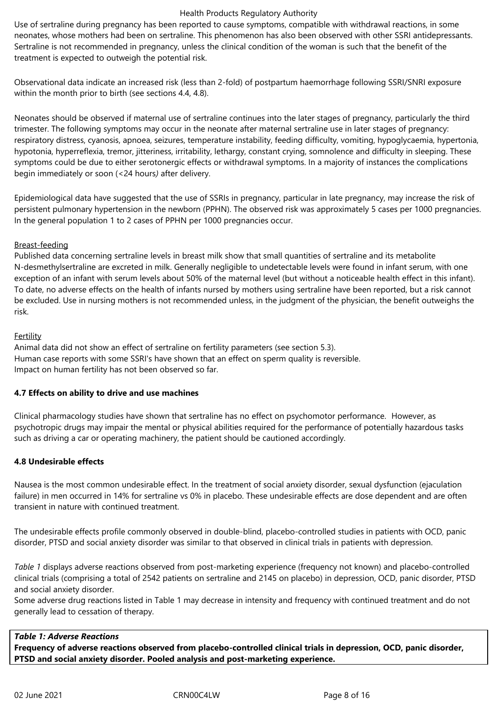Use of sertraline during pregnancy has been reported to cause symptoms, compatible with withdrawal reactions, in some neonates, whose mothers had been on sertraline. This phenomenon has also been observed with other SSRI antidepressants. Sertraline is not recommended in pregnancy, unless the clinical condition of the woman is such that the benefit of the treatment is expected to outweigh the potential risk.

Observational data indicate an increased risk (less than 2-fold) of postpartum haemorrhage following SSRI/SNRI exposure within the month prior to birth (see sections 4.4, 4.8).

Neonates should be observed if maternal use of sertraline continues into the later stages of pregnancy, particularly the third trimester. The following symptoms may occur in the neonate after maternal sertraline use in later stages of pregnancy: respiratory distress, cyanosis, apnoea, seizures, temperature instability, feeding difficulty, vomiting, hypoglycaemia, hypertonia, hypotonia, hyperreflexia, tremor, jitteriness, irritability, lethargy, constant crying, somnolence and difficulty in sleeping. These symptoms could be due to either serotonergic effects or withdrawal symptoms. In a majority of instances the complications begin immediately or soon (<24 hours*)* after delivery.

Epidemiological data have suggested that the use of SSRIs in pregnancy, particular in late pregnancy, may increase the risk of persistent pulmonary hypertension in the newborn (PPHN). The observed risk was approximately 5 cases per 1000 pregnancies. In the general population 1 to 2 cases of PPHN per 1000 pregnancies occur.

#### Breast-feeding

Published data concerning sertraline levels in breast milk show that small quantities of sertraline and its metabolite N-desmethylsertraline are excreted in milk. Generally negligible to undetectable levels were found in infant serum, with one exception of an infant with serum levels about 50% of the maternal level (but without a noticeable health effect in this infant). To date, no adverse effects on the health of infants nursed by mothers using sertraline have been reported, but a risk cannot be excluded. Use in nursing mothers is not recommended unless, in the judgment of the physician, the benefit outweighs the risk.

# Fertility

Animal data did not show an effect of sertraline on fertility parameters (see section 5.3). Human case reports with some SSRI's have shown that an effect on sperm quality is reversible. Impact on human fertility has not been observed so far.

#### **4.7 Effects on ability to drive and use machines**

Clinical pharmacology studies have shown that sertraline has no effect on psychomotor performance. However, as psychotropic drugs may impair the mental or physical abilities required for the performance of potentially hazardous tasks such as driving a car or operating machinery, the patient should be cautioned accordingly.

# **4.8 Undesirable effects**

Nausea is the most common undesirable effect. In the treatment of social anxiety disorder, sexual dysfunction (ejaculation failure) in men occurred in 14% for sertraline vs 0% in placebo. These undesirable effects are dose dependent and are often transient in nature with continued treatment.

The undesirable effects profile commonly observed in double-blind, placebo-controlled studies in patients with OCD, panic disorder, PTSD and social anxiety disorder was similar to that observed in clinical trials in patients with depression.

*Table 1* displays adverse reactions observed from post-marketing experience (frequency not known) and placebo-controlled clinical trials (comprising a total of 2542 patients on sertraline and 2145 on placebo) in depression, OCD, panic disorder, PTSD and social anxiety disorder.

Some adverse drug reactions listed in Table 1 may decrease in intensity and frequency with continued treatment and do not generally lead to cessation of therapy.

# *Table 1: Adverse Reactions*

**Frequency of adverse reactions observed from placebo-controlled clinical trials in depression, OCD, panic disorder, PTSD and social anxiety disorder. Pooled analysis and post-marketing experience.**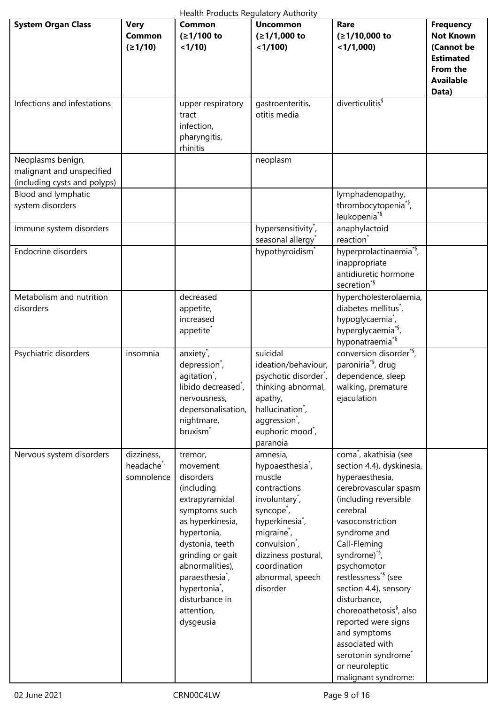| Health Products Regulatory Authority                                           |                                                   |                                                                                                                                                                                                                                                                                         |                                                                                                                                                                                                                                                                                          |                                                                                                                                                                                                                                                                                                                                                                                                                                                                                                           |                                                                                                                 |  |
|--------------------------------------------------------------------------------|---------------------------------------------------|-----------------------------------------------------------------------------------------------------------------------------------------------------------------------------------------------------------------------------------------------------------------------------------------|------------------------------------------------------------------------------------------------------------------------------------------------------------------------------------------------------------------------------------------------------------------------------------------|-----------------------------------------------------------------------------------------------------------------------------------------------------------------------------------------------------------------------------------------------------------------------------------------------------------------------------------------------------------------------------------------------------------------------------------------------------------------------------------------------------------|-----------------------------------------------------------------------------------------------------------------|--|
| <b>System Organ Class</b>                                                      | <b>Very</b><br>Common<br>(21/10)                  | <b>Common</b><br>(≥1/100 to<br>$<1/10$ )                                                                                                                                                                                                                                                | <b>Uncommon</b><br>(≥1/1,000 to<br>$<$ 1/100)                                                                                                                                                                                                                                            | Rare<br>(≥1/10,000 to<br>$<$ 1/1,000)                                                                                                                                                                                                                                                                                                                                                                                                                                                                     | <b>Frequency</b><br><b>Not Known</b><br>(Cannot be<br><b>Estimated</b><br>From the<br><b>Available</b><br>Data) |  |
| Infections and infestations                                                    |                                                   | upper respiratory<br>tract<br>infection,<br>pharyngitis,<br>rhinitis                                                                                                                                                                                                                    | gastroenteritis,<br>otitis media                                                                                                                                                                                                                                                         | diverticulitis <sup>§</sup>                                                                                                                                                                                                                                                                                                                                                                                                                                                                               |                                                                                                                 |  |
| Neoplasms benign,<br>malignant and unspecified<br>(including cysts and polyps) |                                                   |                                                                                                                                                                                                                                                                                         | neoplasm                                                                                                                                                                                                                                                                                 |                                                                                                                                                                                                                                                                                                                                                                                                                                                                                                           |                                                                                                                 |  |
| Blood and lymphatic<br>system disorders                                        |                                                   |                                                                                                                                                                                                                                                                                         |                                                                                                                                                                                                                                                                                          | lymphadenopathy,<br>thrombocytopenia <sup>*§</sup> ,<br>leukopenia <sup>*§</sup>                                                                                                                                                                                                                                                                                                                                                                                                                          |                                                                                                                 |  |
| Immune system disorders                                                        |                                                   |                                                                                                                                                                                                                                                                                         | hypersensitivity <sup>*</sup> ,<br>seasonal allergy                                                                                                                                                                                                                                      | anaphylactoid<br>reaction <sup>'</sup>                                                                                                                                                                                                                                                                                                                                                                                                                                                                    |                                                                                                                 |  |
| <b>Endocrine disorders</b>                                                     |                                                   |                                                                                                                                                                                                                                                                                         | hypothyroidism <sup>*</sup>                                                                                                                                                                                                                                                              | hyperprolactinaemia <sup>*§</sup> ,<br>inappropriate<br>antidiuretic hormone<br>secretion <sup>*§</sup>                                                                                                                                                                                                                                                                                                                                                                                                   |                                                                                                                 |  |
| Metabolism and nutrition<br>disorders                                          |                                                   | decreased<br>appetite,<br>increased<br>appetite <sup>®</sup>                                                                                                                                                                                                                            |                                                                                                                                                                                                                                                                                          | hypercholesterolaemia,<br>diabetes mellitus <sup>*</sup> ,<br>hypoglycaemia <sup>*</sup> ,<br>hyperglycaemia <sup>*§</sup> ,<br>hyponatraemia <sup>*§</sup>                                                                                                                                                                                                                                                                                                                                               |                                                                                                                 |  |
| Psychiatric disorders                                                          | insomnia                                          | anxiety <sup>*</sup> ,<br>depression <sup>*</sup> ,<br>agitation <sup>*</sup> ,<br>libido decreased <sup>*</sup> ,<br>nervousness,<br>depersonalisation,<br>nightmare,<br>bruxism <sup>*</sup>                                                                                          | suicidal<br>ideation/behaviour,<br>psychotic disorder <sup>*</sup> ,<br>thinking abnormal,<br>apathy,<br>hallucination <sup>*</sup> ,<br>aggression <sup>*</sup> ,<br>euphoric mood <sup>*</sup> ,<br>paranoia                                                                           | conversion disorder <sup>*§</sup> ,<br>paroniria <sup>*§</sup> , drug<br>dependence, sleep<br>walking, premature<br>ejaculation                                                                                                                                                                                                                                                                                                                                                                           |                                                                                                                 |  |
| Nervous system disorders                                                       | dizziness,<br>headache <sup>*</sup><br>somnolence | tremor,<br>movement<br>disorders<br>(including<br>extrapyramidal<br>symptoms such<br>as hyperkinesia,<br>hypertonia,<br>dystonia, teeth<br>grinding or gait<br>abnormalities),<br>paraesthesia <sup>*</sup> ,<br>hypertonia <sup>*</sup> ,<br>disturbance in<br>attention,<br>dysgeusia | amnesia,<br>hypoaesthesia <sup>*</sup> ,<br>muscle<br>contractions<br>involuntary <sup>*</sup> ,<br>syncope <sup>*</sup> ,<br>hyperkinesia <sup>*</sup> ,<br>migraine <sup>*</sup> ,<br>convulsion <sup>*</sup> ,<br>dizziness postural,<br>coordination<br>abnormal, speech<br>disorder | coma <sup>*</sup> , akathisia (see<br>section 4.4), dyskinesia,<br>hyperaesthesia,<br>cerebrovascular spasm<br>(including reversible<br>cerebral<br>vasoconstriction<br>syndrome and<br>Call-Fleming<br>syndrome) <sup>*§</sup> ,<br>psychomotor<br>restlessness <sup>*§</sup> (see<br>section 4.4), sensory<br>disturbance,<br>choreoathetosis <sup>§</sup> , also<br>reported were signs<br>and symptoms<br>associated with<br>serotonin syndrome <sup>®</sup><br>or neuroleptic<br>malignant syndrome: |                                                                                                                 |  |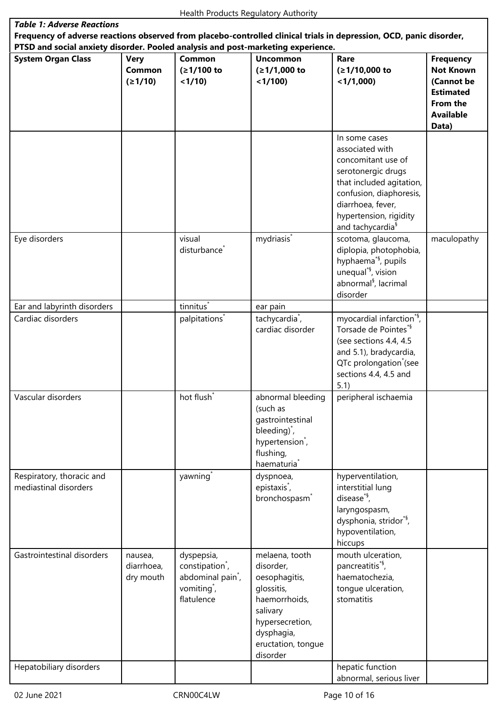| <b>Table 1: Adverse Reactions</b>                                                                                                                                                                       |                                    |                                                                                                                     |                                                                                                                                                            |                                                                                                                                                                                                                    |                                                                                                                 |  |  |
|---------------------------------------------------------------------------------------------------------------------------------------------------------------------------------------------------------|------------------------------------|---------------------------------------------------------------------------------------------------------------------|------------------------------------------------------------------------------------------------------------------------------------------------------------|--------------------------------------------------------------------------------------------------------------------------------------------------------------------------------------------------------------------|-----------------------------------------------------------------------------------------------------------------|--|--|
| Frequency of adverse reactions observed from placebo-controlled clinical trials in depression, OCD, panic disorder,<br>PTSD and social anxiety disorder. Pooled analysis and post-marketing experience. |                                    |                                                                                                                     |                                                                                                                                                            |                                                                                                                                                                                                                    |                                                                                                                 |  |  |
| <b>System Organ Class</b>                                                                                                                                                                               | <b>Very</b><br>Common<br>(21/10)   | Common<br>(≥1/100 to<br>< 1/10                                                                                      | <b>Uncommon</b><br>$(≥1/1,000$ to<br>$<$ 1/100)                                                                                                            | Rare<br>(≥1/10,000 to<br>$<$ 1/1,000)                                                                                                                                                                              | <b>Frequency</b><br><b>Not Known</b><br>(Cannot be<br><b>Estimated</b><br>From the<br><b>Available</b><br>Data) |  |  |
|                                                                                                                                                                                                         |                                    |                                                                                                                     |                                                                                                                                                            | In some cases<br>associated with<br>concomitant use of<br>serotonergic drugs<br>that included agitation,<br>confusion, diaphoresis,<br>diarrhoea, fever,<br>hypertension, rigidity<br>and tachycardia <sup>§</sup> |                                                                                                                 |  |  |
| Eye disorders                                                                                                                                                                                           |                                    | visual<br>disturbance <sup>*</sup>                                                                                  | mydriasis <sup>*</sup>                                                                                                                                     | scotoma, glaucoma,<br>diplopia, photophobia,<br>hyphaema <sup>*§</sup> , pupils<br>unequal <sup>*§</sup> , vision<br>abnormal <sup>§</sup> , lacrimal<br>disorder                                                  | maculopathy                                                                                                     |  |  |
| Ear and labyrinth disorders                                                                                                                                                                             |                                    | tinnitus <sup>*</sup>                                                                                               | ear pain                                                                                                                                                   |                                                                                                                                                                                                                    |                                                                                                                 |  |  |
| Cardiac disorders                                                                                                                                                                                       |                                    | palpitations <sup>*</sup>                                                                                           | tachycardia <sup>*</sup> ,<br>cardiac disorder                                                                                                             | myocardial infarction <sup>*§</sup> ,<br>Torsade de Pointes*§<br>(see sections 4.4, 4.5<br>and 5.1), bradycardia,<br>QTc prolongation <sup>*</sup> (see<br>sections 4.4, 4.5 and<br>5.1)                           |                                                                                                                 |  |  |
| Vascular disorders                                                                                                                                                                                      |                                    | hot flush <sup>*</sup>                                                                                              | abnormal bleeding<br>(such as<br>gastrointestinal<br>bleeding) <sup>*</sup> ,<br>hypertension <sup>*</sup> ,<br>flushing,<br>haematuria <sup>®</sup>       | peripheral ischaemia                                                                                                                                                                                               |                                                                                                                 |  |  |
| Respiratory, thoracic and<br>mediastinal disorders                                                                                                                                                      |                                    | yawning <sup>*</sup>                                                                                                | dyspnoea,<br>epistaxis <sup>*</sup> ,<br>bronchospasm <sup>®</sup>                                                                                         | hyperventilation,<br>interstitial lung<br>disease $*$ <sup>5</sup> ,<br>laryngospasm,<br>dysphonia, stridor <sup>*§</sup> ,<br>hypoventilation,<br>hiccups                                                         |                                                                                                                 |  |  |
| Gastrointestinal disorders                                                                                                                                                                              | nausea,<br>diarrhoea,<br>dry mouth | dyspepsia,<br>constipation <sup>*</sup> ,<br>abdominal pain <sup>*</sup> ,<br>vomiting <sup>*</sup> ,<br>flatulence | melaena, tooth<br>disorder,<br>oesophagitis,<br>glossitis,<br>haemorrhoids,<br>salivary<br>hypersecretion,<br>dysphagia,<br>eructation, tongue<br>disorder | mouth ulceration,<br>pancreatitis <sup>*§</sup> ,<br>haematochezia,<br>tongue ulceration,<br>stomatitis                                                                                                            |                                                                                                                 |  |  |
| Hepatobiliary disorders                                                                                                                                                                                 |                                    |                                                                                                                     |                                                                                                                                                            | hepatic function<br>abnormal, serious liver                                                                                                                                                                        |                                                                                                                 |  |  |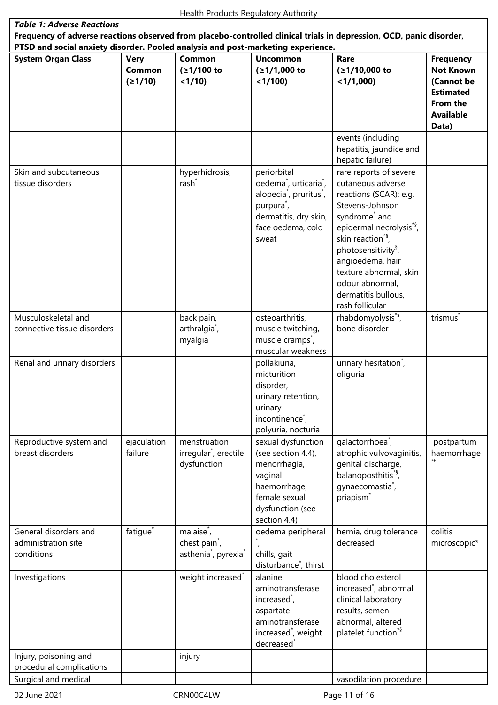| <b>Table 1: Adverse Reactions</b>                                                                                                                                                                       |                                         |                                                                                                     |                                                                                                                                                                                     |                                                                                                                                                                                                                                                                                                                                              |                                                                                                                 |  |
|---------------------------------------------------------------------------------------------------------------------------------------------------------------------------------------------------------|-----------------------------------------|-----------------------------------------------------------------------------------------------------|-------------------------------------------------------------------------------------------------------------------------------------------------------------------------------------|----------------------------------------------------------------------------------------------------------------------------------------------------------------------------------------------------------------------------------------------------------------------------------------------------------------------------------------------|-----------------------------------------------------------------------------------------------------------------|--|
| Frequency of adverse reactions observed from placebo-controlled clinical trials in depression, OCD, panic disorder,<br>PTSD and social anxiety disorder. Pooled analysis and post-marketing experience. |                                         |                                                                                                     |                                                                                                                                                                                     |                                                                                                                                                                                                                                                                                                                                              |                                                                                                                 |  |
|                                                                                                                                                                                                         |                                         |                                                                                                     |                                                                                                                                                                                     |                                                                                                                                                                                                                                                                                                                                              |                                                                                                                 |  |
| <b>System Organ Class</b>                                                                                                                                                                               | <b>Very</b><br><b>Common</b><br>(≥1/10) | <b>Common</b><br>(≥1/100 to<br>< 1/10                                                               | <b>Uncommon</b><br>$(≥1/1,000$ to<br>< 1/100                                                                                                                                        | Rare<br>(≥1/10,000 to<br>$<$ 1/1,000)                                                                                                                                                                                                                                                                                                        | <b>Frequency</b><br><b>Not Known</b><br>(Cannot be<br><b>Estimated</b><br>From the<br><b>Available</b><br>Data) |  |
|                                                                                                                                                                                                         |                                         |                                                                                                     |                                                                                                                                                                                     | events (including<br>hepatitis, jaundice and<br>hepatic failure)                                                                                                                                                                                                                                                                             |                                                                                                                 |  |
| Skin and subcutaneous<br>tissue disorders                                                                                                                                                               |                                         | hyperhidrosis,<br>rash <sup>*</sup>                                                                 | periorbital<br>oedema <sup>*</sup> , urticaria <sup>*</sup> ,<br>alopecia <sup>*</sup> , pruritus <sup>*</sup> ,<br>purpura,<br>dermatitis, dry skin,<br>face oedema, cold<br>sweat | rare reports of severe<br>cutaneous adverse<br>reactions (SCAR): e.g.<br>Stevens-Johnson<br>syndrome <sup>*</sup> and<br>epidermal necrolysis <sup>*§</sup> ,<br>skin reaction <sup>*§</sup> ,<br>photosensitivity <sup>§</sup> ,<br>angioedema, hair<br>texture abnormal, skin<br>odour abnormal,<br>dermatitis bullous,<br>rash follicular |                                                                                                                 |  |
| Musculoskeletal and<br>connective tissue disorders                                                                                                                                                      |                                         | back pain,<br>arthralgia <sup>*</sup> ,<br>myalgia                                                  | osteoarthritis,<br>muscle twitching,<br>muscle cramps <sup>*</sup> ,<br>muscular weakness                                                                                           | rhabdomyolysis <sup>*§</sup> ,<br>bone disorder                                                                                                                                                                                                                                                                                              | trismus <sup>*</sup>                                                                                            |  |
| Renal and urinary disorders                                                                                                                                                                             |                                         |                                                                                                     | pollakiuria,<br>micturition<br>disorder,<br>urinary retention,<br>urinary<br>incontinence <sup>*</sup> ,<br>polyuria, nocturia                                                      | urinary hesitation <sup>*</sup> ,<br>oliguria                                                                                                                                                                                                                                                                                                |                                                                                                                 |  |
| Reproductive system and<br>breast disorders                                                                                                                                                             | ejaculation<br>failure                  | menstruation<br>irregular <sup>*</sup> , erectile<br>dysfunction                                    | sexual dysfunction<br>(see section 4.4),<br>menorrhagia,<br>vaginal<br>haemorrhage,<br>female sexual<br>dysfunction (see<br>section 4.4)                                            | galactorrhoea <sup>*</sup> ,<br>atrophic vulvovaginitis,<br>genital discharge,<br>balanoposthitis <sup>*§</sup> ,<br>gynaecomastia <sup>*</sup> ,<br>priapism <sup>7</sup>                                                                                                                                                                   | postpartum<br>haemorrhage                                                                                       |  |
| General disorders and<br>administration site<br>conditions                                                                                                                                              | fatigue <sup>*</sup>                    | malaise <sup>*</sup> ,<br>chest pain <sup>*</sup> ,<br>asthenia <sup>*</sup> , pyrexia <sup>*</sup> | oedema peripheral<br>chills, gait<br>disturbance <sup>*</sup> , thirst                                                                                                              | hernia, drug tolerance<br>decreased                                                                                                                                                                                                                                                                                                          | colitis<br>microscopic*                                                                                         |  |
| Investigations                                                                                                                                                                                          |                                         | weight increased <sup>*</sup>                                                                       | alanine<br>aminotransferase<br>increased <sup>*</sup> ,<br>aspartate<br>aminotransferase<br>increased <sup>*</sup> , weight<br>decreased <sup>*</sup>                               | blood cholesterol<br>increased <sup>*</sup> , abnormal<br>clinical laboratory<br>results, semen<br>abnormal, altered<br>platelet function <sup>*§</sup>                                                                                                                                                                                      |                                                                                                                 |  |
| Injury, poisoning and<br>procedural complications                                                                                                                                                       |                                         | injury                                                                                              |                                                                                                                                                                                     |                                                                                                                                                                                                                                                                                                                                              |                                                                                                                 |  |
| Surgical and medical                                                                                                                                                                                    |                                         |                                                                                                     |                                                                                                                                                                                     | vasodilation procedure                                                                                                                                                                                                                                                                                                                       |                                                                                                                 |  |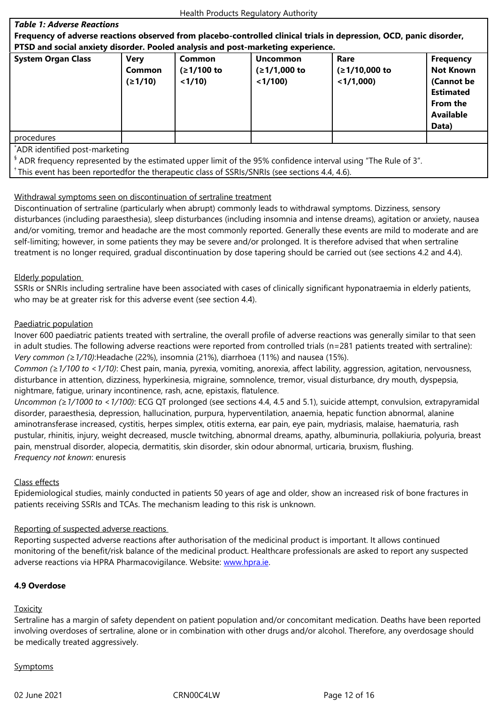#### **PTSD and social anxiety disorder. Pooled analysis and post-marketing experience.**

| .                         |                                  |                                |                                              |                                         |                                                    |  |
|---------------------------|----------------------------------|--------------------------------|----------------------------------------------|-----------------------------------------|----------------------------------------------------|--|
| <b>System Organ Class</b> | <b>Very</b><br>Common<br>(≥1/10) | Common<br>(≥1/100 to<br>< 1/10 | <b>Uncommon</b><br>$(≥1/1,000$ to<br>< 1/100 | Rare<br>$(≥1/10,000$ to<br>$<$ 1/1,000) | <b>Frequency</b><br><b>Not Known</b><br>(Cannot be |  |
|                           |                                  |                                |                                              |                                         | <b>Estimated</b><br>From the                       |  |
|                           |                                  |                                |                                              |                                         | <b>Available</b>                                   |  |
|                           |                                  |                                |                                              |                                         | Data)                                              |  |
| procedures                |                                  |                                |                                              |                                         |                                                    |  |

\*ADR identified post-marketing

 $\frac{1}{3}$  ADR frequency represented by the estimated upper limit of the 95% confidence interval using "The Rule of 3".

 $^{\dagger}$  This event has been reportedfor the therapeutic class of SSRIs/SNRIs (see sections 4.4, 4.6).

# Withdrawal symptoms seen on discontinuation of sertraline treatment

Discontinuation of sertraline (particularly when abrupt) commonly leads to withdrawal symptoms. Dizziness, sensory disturbances (including paraesthesia), sleep disturbances (including insomnia and intense dreams), agitation or anxiety, nausea and/or vomiting, tremor and headache are the most commonly reported. Generally these events are mild to moderate and are self-limiting; however, in some patients they may be severe and/or prolonged. It is therefore advised that when sertraline treatment is no longer required, gradual discontinuation by dose tapering should be carried out (see sections 4.2 and 4.4).

# Elderly population

SSRIs or SNRIs including sertraline have been associated with cases of clinically significant hyponatraemia in elderly patients, who may be at greater risk for this adverse event (see section 4.4).

# Paediatric population

Inover 600 paediatric patients treated with sertraline, the overall profile of adverse reactions was generally similar to that seen in adult studies. The following adverse reactions were reported from controlled trials (n=281 patients treated with sertraline): *Very common (≥1/10)*:Headache (22%), insomnia (21%), diarrhoea (11%) and nausea (15%).

*Common (≥1/100 to <1/10)*: Chest pain, mania, pyrexia, vomiting, anorexia, affect lability, aggression, agitation, nervousness, disturbance in attention, dizziness, hyperkinesia, migraine, somnolence, tremor, visual disturbance, dry mouth, dyspepsia, nightmare, fatigue, urinary incontinence, rash, acne, epistaxis, flatulence.

*Uncommon (≥1/1000 to <1/100)*: ECG QT prolonged (see sections 4.4, 4.5 and 5.1), suicide attempt, convulsion, extrapyramidal disorder, paraesthesia, depression, hallucination, purpura, hyperventilation, anaemia, hepatic function abnormal, alanine aminotransferase increased, cystitis, herpes simplex, otitis externa, ear pain, eye pain, mydriasis, malaise, haematuria, rash pustular, rhinitis, injury, weight decreased, muscle twitching, abnormal dreams, apathy, albuminuria, pollakiuria, polyuria, breast pain, menstrual disorder, alopecia, dermatitis, skin disorder, skin odour abnormal, urticaria, bruxism, flushing. *Frequency not known*: enuresis

# Class effects

Epidemiological studies, mainly conducted in patients 50 years of age and older, show an increased risk of bone fractures in patients receiving SSRIs and TCAs. The mechanism leading to this risk is unknown.

# Reporting of suspected adverse reactions

Reporting suspected adverse reactions after authorisation of the medicinal product is important. It allows continued monitoring of the benefit/risk balance of the medicinal product. Healthcare professionals are asked to report any suspected adverse reactions via HPRA Pharmacovigilance. Website: www.hpra.ie.

# **4.9 Overdose**

# **Toxicity**

Sertraline has a margin of safety dependent on patient population and/or concomitant medication. Deaths have been reported involving overdoses of sertraline, alone or in combination with other drugs and/or alcohol. Therefore, any overdosage should be medically treated aggressively.

# **Symptoms**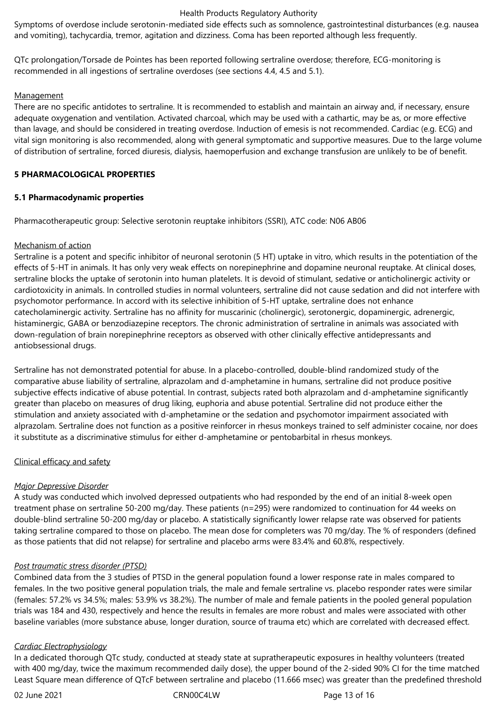Symptoms of overdose include serotonin-mediated side effects such as somnolence, gastrointestinal disturbances (e.g. nausea and vomiting), tachycardia, tremor, agitation and dizziness. Coma has been reported although less frequently.

QTc prolongation/Torsade de Pointes has been reported following sertraline overdose; therefore, ECG-monitoring is recommended in all ingestions of sertraline overdoses (see sections 4.4, 4.5 and 5.1).

#### **Management**

There are no specific antidotes to sertraline. It is recommended to establish and maintain an airway and, if necessary, ensure adequate oxygenation and ventilation. Activated charcoal, which may be used with a cathartic, may be as, or more effective than lavage, and should be considered in treating overdose. Induction of emesis is not recommended. Cardiac (e.g. ECG) and vital sign monitoring is also recommended, along with general symptomatic and supportive measures. Due to the large volume of distribution of sertraline, forced diuresis, dialysis, haemoperfusion and exchange transfusion are unlikely to be of benefit.

#### **5 PHARMACOLOGICAL PROPERTIES**

#### **5.1 Pharmacodynamic properties**

Pharmacotherapeutic group: Selective serotonin reuptake inhibitors (SSRI), ATC code: N06 AB06

# Mechanism of action

Sertraline is a potent and specific inhibitor of neuronal serotonin (5 HT) uptake in vitro, which results in the potentiation of the effects of 5-HT in animals. It has only very weak effects on norepinephrine and dopamine neuronal reuptake. At clinical doses, sertraline blocks the uptake of serotonin into human platelets. It is devoid of stimulant, sedative or anticholinergic activity or cardiotoxicity in animals. In controlled studies in normal volunteers, sertraline did not cause sedation and did not interfere with psychomotor performance. In accord with its selective inhibition of 5-HT uptake, sertraline does not enhance catecholaminergic activity. Sertraline has no affinity for muscarinic (cholinergic), serotonergic, dopaminergic, adrenergic, histaminergic, GABA or benzodiazepine receptors. The chronic administration of sertraline in animals was associated with down-regulation of brain norepinephrine receptors as observed with other clinically effective antidepressants and antiobsessional drugs.

Sertraline has not demonstrated potential for abuse. In a placebo-controlled, double-blind randomized study of the comparative abuse liability of sertraline, alprazolam and d-amphetamine in humans, sertraline did not produce positive subjective effects indicative of abuse potential. In contrast, subjects rated both alprazolam and d-amphetamine significantly greater than placebo on measures of drug liking, euphoria and abuse potential. Sertraline did not produce either the stimulation and anxiety associated with d-amphetamine or the sedation and psychomotor impairment associated with alprazolam. Sertraline does not function as a positive reinforcer in rhesus monkeys trained to self administer cocaine, nor does it substitute as a discriminative stimulus for either d-amphetamine or pentobarbital in rhesus monkeys.

# Clinical efficacy and safety

# *Major Depressive Disorder*

A study was conducted which involved depressed outpatients who had responded by the end of an initial 8-week open treatment phase on sertraline 50-200 mg/day. These patients (n=295) were randomized to continuation for 44 weeks on double-blind sertraline 50-200 mg/day or placebo. A statistically significantly lower relapse rate was observed for patients taking sertraline compared to those on placebo. The mean dose for completers was 70 mg/day. The % of responders (defined as those patients that did not relapse) for sertraline and placebo arms were 83.4% and 60.8%, respectively.

#### *Post traumatic stress disorder (PTSD)*

Combined data from the 3 studies of PTSD in the general population found a lower response rate in males compared to females. In the two positive general population trials, the male and female sertraline vs. placebo responder rates were similar (females: 57.2% vs 34.5%; males: 53.9% vs 38.2%). The number of male and female patients in the pooled general population trials was 184 and 430, respectively and hence the results in females are more robust and males were associated with other baseline variables (more substance abuse, longer duration, source of trauma etc) which are correlated with decreased effect.

#### *Cardiac Electrophysiology*

In a dedicated thorough QTc study, conducted at steady state at supratherapeutic exposures in healthy volunteers (treated with 400 mg/day, twice the maximum recommended daily dose), the upper bound of the 2-sided 90% CI for the time matched Least Square mean difference of QTcF between sertraline and placebo (11.666 msec) was greater than the predefined threshold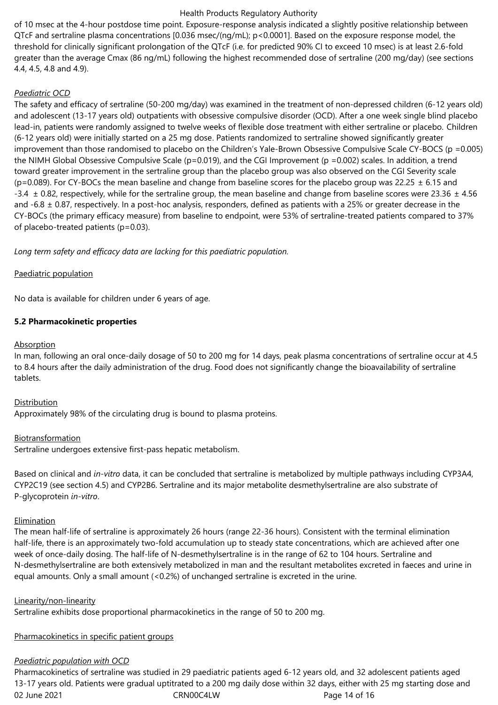of 10 msec at the 4-hour postdose time point. Exposure-response analysis indicated a slightly positive relationship between QTcF and sertraline plasma concentrations [0.036 msec/(ng/mL); p<0.0001]. Based on the exposure response model, the threshold for clinically significant prolongation of the QTcF (i.e. for predicted 90% CI to exceed 10 msec) is at least 2.6-fold greater than the average Cmax (86 ng/mL) following the highest recommended dose of sertraline (200 mg/day) (see sections 4.4, 4.5, 4.8 and 4.9).

# *Paediatric OCD*

The safety and efficacy of sertraline (50-200 mg/day) was examined in the treatment of non-depressed children (6-12 years old) and adolescent (13-17 years old) outpatients with obsessive compulsive disorder (OCD). After a one week single blind placebo lead-in, patients were randomly assigned to twelve weeks of flexible dose treatment with either sertraline or placebo. Children (6-12 years old) were initially started on a 25 mg dose. Patients randomized to sertraline showed significantly greater improvement than those randomised to placebo on the Children's Yale-Brown Obsessive Compulsive Scale CY-BOCS (p =0.005) the NIMH Global Obsessive Compulsive Scale (p=0.019), and the CGI Improvement (p =0.002) scales. In addition, a trend toward greater improvement in the sertraline group than the placebo group was also observed on the CGI Severity scale ( $p=0.089$ ). For CY-BOCs the mean baseline and change from baseline scores for the placebo group was 22.25  $\pm$  6.15 and -3.4  $\pm$  0.82, respectively, while for the sertraline group, the mean baseline and change from baseline scores were 23.36  $\pm$  4.56 and  $-6.8 \pm 0.87$ , respectively. In a post-hoc analysis, responders, defined as patients with a 25% or greater decrease in the CY-BOCs (the primary efficacy measure) from baseline to endpoint, were 53% of sertraline‑treated patients compared to 37% of placebo‑treated patients (p=0.03).

*Long term safety and efficacy data are lacking for this paediatric population.*

# Paediatric population

No data is available for children under 6 years of age.

# **5.2 Pharmacokinetic properties**

# **Absorption**

In man, following an oral once-daily dosage of 50 to 200 mg for 14 days, peak plasma concentrations of sertraline occur at 4.5 to 8.4 hours after the daily administration of the drug. Food does not significantly change the bioavailability of sertraline tablets.

### **Distribution**

Approximately 98% of the circulating drug is bound to plasma proteins.

#### Biotransformation

Sertraline undergoes extensive first-pass hepatic metabolism.

Based on clinical and *in-vitro* data, it can be concluded that sertraline is metabolized by multiple pathways including CYP3A4, CYP2C19 (see section 4.5) and CYP2B6. Sertraline and its major metabolite desmethylsertraline are also substrate of P-glycoprotein *in-vitro*.

#### Elimination

The mean half-life of sertraline is approximately 26 hours (range 22-36 hours). Consistent with the terminal elimination half-life, there is an approximately two-fold accumulation up to steady state concentrations, which are achieved after one week of once-daily dosing. The half-life of N-desmethylsertraline is in the range of 62 to 104 hours. Sertraline and N-desmethylsertraline are both extensively metabolized in man and the resultant metabolites excreted in faeces and urine in equal amounts. Only a small amount (<0.2%) of unchanged sertraline is excreted in the urine.

#### Linearity/non-linearity

Sertraline exhibits dose proportional pharmacokinetics in the range of 50 to 200 mg.

#### Pharmacokinetics in specific patient groups

# *Paediatric population with OCD*

02 June 2021 **CRNOOC4LW** CRNOOC4LW Page 14 of 16 Pharmacokinetics of sertraline was studied in 29 paediatric patients aged 6-12 years old, and 32 adolescent patients aged 13-17 years old. Patients were gradual uptitrated to a 200 mg daily dose within 32 days, either with 25 mg starting dose and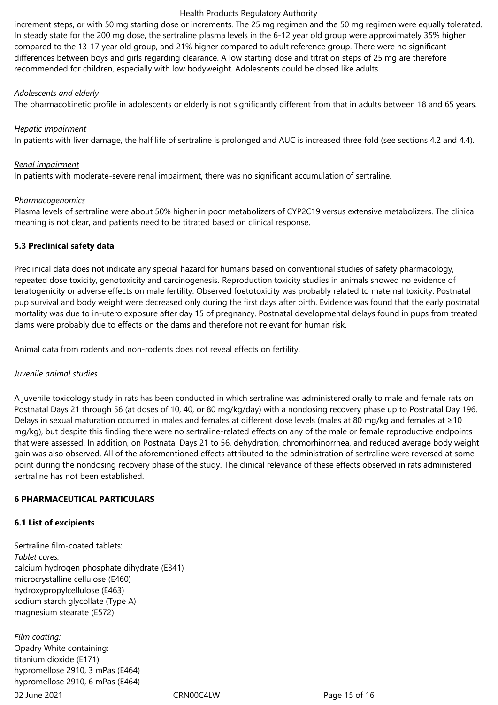increment steps, or with 50 mg starting dose or increments. The 25 mg regimen and the 50 mg regimen were equally tolerated. In steady state for the 200 mg dose, the sertraline plasma levels in the 6-12 year old group were approximately 35% higher compared to the 13-17 year old group, and 21% higher compared to adult reference group. There were no significant differences between boys and girls regarding clearance. A low starting dose and titration steps of 25 mg are therefore recommended for children, especially with low bodyweight. Adolescents could be dosed like adults.

#### *Adolescents and elderly*

The pharmacokinetic profile in adolescents or elderly is not significantly different from that in adults between 18 and 65 years.

# *Hepatic impairment*

In patients with liver damage, the half life of sertraline is prolonged and AUC is increased three fold (see sections 4.2 and 4.4).

### *Renal impairment*

In patients with moderate-severe renal impairment, there was no significant accumulation of sertraline.

# *Pharmacogenomics*

Plasma levels of sertraline were about 50% higher in poor metabolizers of CYP2C19 versus extensive metabolizers. The clinical meaning is not clear, and patients need to be titrated based on clinical response.

# **5.3 Preclinical safety data**

Preclinical data does not indicate any special hazard for humans based on conventional studies of safety pharmacology, repeated dose toxicity, genotoxicity and carcinogenesis. Reproduction toxicity studies in animals showed no evidence of teratogenicity or adverse effects on male fertility. Observed foetotoxicity was probably related to maternal toxicity. Postnatal pup survival and body weight were decreased only during the first days after birth. Evidence was found that the early postnatal mortality was due to in-utero exposure after day 15 of pregnancy. Postnatal developmental delays found in pups from treated dams were probably due to effects on the dams and therefore not relevant for human risk.

Animal data from rodents and non-rodents does not reveal effects on fertility.

# *Juvenile animal studies*

A juvenile toxicology study in rats has been conducted in which sertraline was administered orally to male and female rats on Postnatal Days 21 through 56 (at doses of 10, 40, or 80 mg/kg/day) with a nondosing recovery phase up to Postnatal Day 196. Delays in sexual maturation occurred in males and females at different dose levels (males at 80 mg/kg and females at ≥10 mg/kg), but despite this finding there were no sertraline-related effects on any of the male or female reproductive endpoints that were assessed. In addition, on Postnatal Days 21 to 56, dehydration, chromorhinorrhea, and reduced average body weight gain was also observed. All of the aforementioned effects attributed to the administration of sertraline were reversed at some point during the nondosing recovery phase of the study. The clinical relevance of these effects observed in rats administered sertraline has not been established.

#### **6 PHARMACEUTICAL PARTICULARS**

#### **6.1 List of excipients**

Sertraline film-coated tablets: *Tablet cores:* calcium hydrogen phosphate dihydrate (E341) microcrystalline cellulose (E460) hydroxypropylcellulose (E463) sodium starch glycollate (Type A) magnesium stearate (E572)

02 June 2021 **CRNOOC4LW** CRNOOC4LW **Page 15 of 16** *Film coating:* Opadry White containing: titanium dioxide (E171) hypromellose 2910, 3 mPas (E464) hypromellose 2910, 6 mPas (E464)